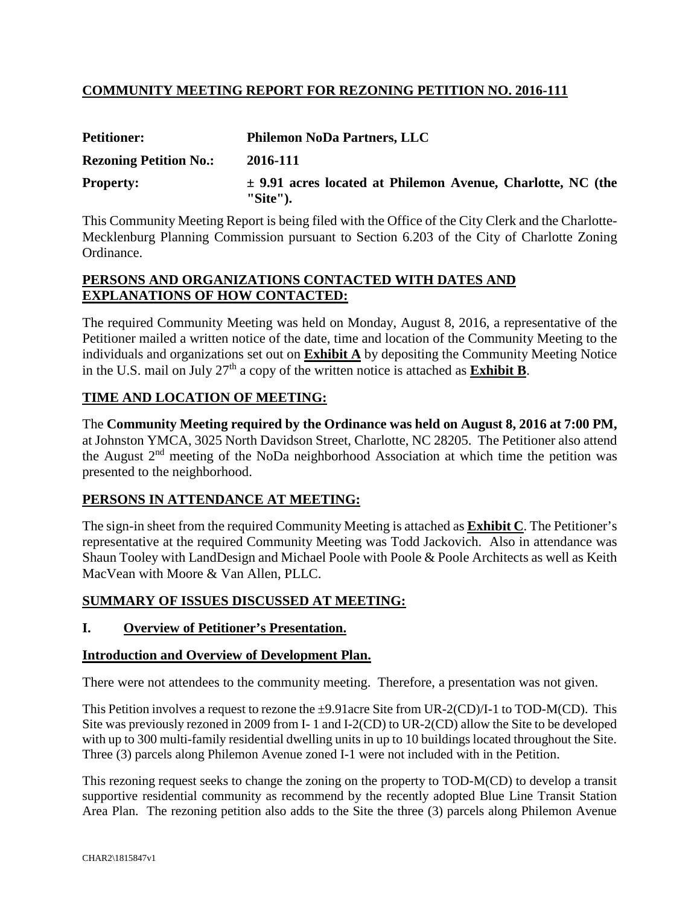# **COMMUNITY MEETING REPORT FOR REZONING PETITION NO. 2016-111**

| <b>Petitioner:</b>            | <b>Philemon NoDa Partners, LLC</b>                                             |  |  |  |  |
|-------------------------------|--------------------------------------------------------------------------------|--|--|--|--|
| <b>Rezoning Petition No.:</b> | 2016-111                                                                       |  |  |  |  |
| <b>Property:</b>              | $\pm$ 9.91 acres located at Philemon Avenue, Charlotte, NC (the<br>$"Site"$ ). |  |  |  |  |

This Community Meeting Report is being filed with the Office of the City Clerk and the Charlotte-Mecklenburg Planning Commission pursuant to Section 6.203 of the City of Charlotte Zoning Ordinance.

#### **PERSONS AND ORGANIZATIONS CONTACTED WITH DATES AND EXPLANATIONS OF HOW CONTACTED:**

The required Community Meeting was held on Monday, August 8, 2016, a representative of the Petitioner mailed a written notice of the date, time and location of the Community Meeting to the individuals and organizations set out on **Exhibit A** by depositing the Community Meeting Notice in the U.S. mail on July  $27<sup>th</sup>$  a copy of the written notice is attached as **Exhibit B**.

# **TIME AND LOCATION OF MEETING:**

The **Community Meeting required by the Ordinance was held on August 8, 2016 at 7:00 PM,** at Johnston YMCA, 3025 North Davidson Street, Charlotte, NC 28205. The Petitioner also attend the August  $2<sup>nd</sup>$  meeting of the NoDa neighborhood Association at which time the petition was presented to the neighborhood.

# **PERSONS IN ATTENDANCE AT MEETING:**

The sign-in sheet from the required Community Meeting is attached as **Exhibit C**. The Petitioner's representative at the required Community Meeting was Todd Jackovich. Also in attendance was Shaun Tooley with LandDesign and Michael Poole with Poole & Poole Architects as well as Keith MacVean with Moore & Van Allen, PLLC.

# **SUMMARY OF ISSUES DISCUSSED AT MEETING:**

# **I. Overview of Petitioner's Presentation.**

#### **Introduction and Overview of Development Plan.**

There were not attendees to the community meeting. Therefore, a presentation was not given.

This Petition involves a request to rezone the  $\pm 9.91$  acre Site from UR-2(CD)/I-1 to TOD-M(CD). This Site was previously rezoned in 2009 from I- 1 and I-2(CD) to UR-2(CD) allow the Site to be developed with up to 300 multi-family residential dwelling units in up to 10 buildings located throughout the Site. Three (3) parcels along Philemon Avenue zoned I-1 were not included with in the Petition.

This rezoning request seeks to change the zoning on the property to TOD-M(CD) to develop a transit supportive residential community as recommend by the recently adopted Blue Line Transit Station Area Plan. The rezoning petition also adds to the Site the three (3) parcels along Philemon Avenue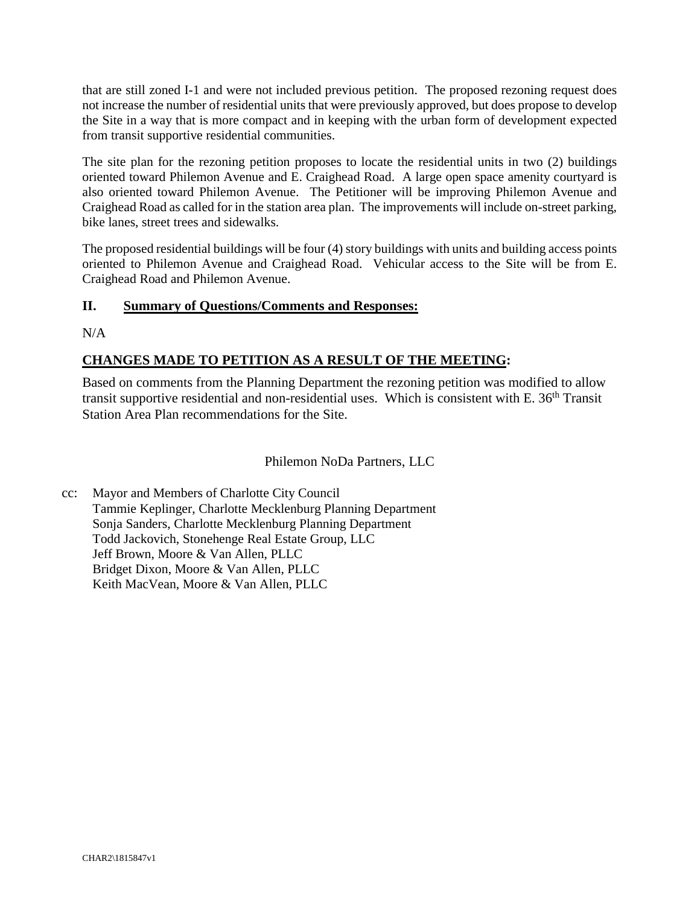that are still zoned I-1 and were not included previous petition. The proposed rezoning request does not increase the number of residential units that were previously approved, but does propose to develop the Site in a way that is more compact and in keeping with the urban form of development expected from transit supportive residential communities.

The site plan for the rezoning petition proposes to locate the residential units in two (2) buildings oriented toward Philemon Avenue and E. Craighead Road. A large open space amenity courtyard is also oriented toward Philemon Avenue. The Petitioner will be improving Philemon Avenue and Craighead Road as called for in the station area plan. The improvements will include on-street parking, bike lanes, street trees and sidewalks.

The proposed residential buildings will be four (4) story buildings with units and building access points oriented to Philemon Avenue and Craighead Road. Vehicular access to the Site will be from E. Craighead Road and Philemon Avenue.

# **II. Summary of Questions/Comments and Responses:**

 $N/A$ 

# **CHANGES MADE TO PETITION AS A RESULT OF THE MEETING:**

Based on comments from the Planning Department the rezoning petition was modified to allow transit supportive residential and non-residential uses. Which is consistent with E. 36th Transit Station Area Plan recommendations for the Site.

#### Philemon NoDa Partners, LLC

cc: Mayor and Members of Charlotte City Council Tammie Keplinger, Charlotte Mecklenburg Planning Department Sonja Sanders, Charlotte Mecklenburg Planning Department Todd Jackovich, Stonehenge Real Estate Group, LLC Jeff Brown, Moore & Van Allen, PLLC Bridget Dixon, Moore & Van Allen, PLLC Keith MacVean, Moore & Van Allen, PLLC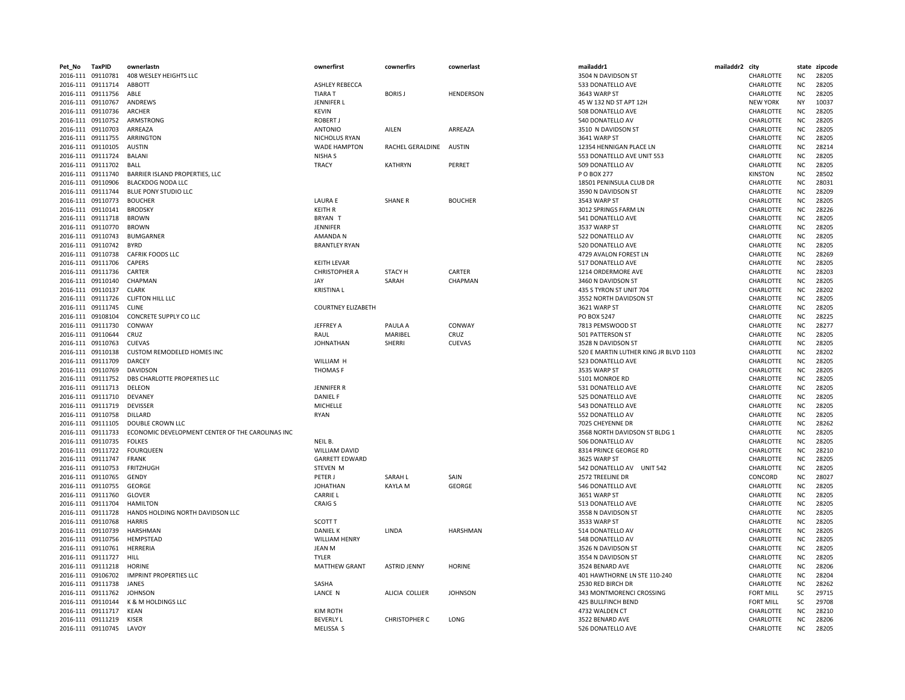| Pet_No | TaxPID            | ownerlastn                                       | ownerfirst                | cownerfirs              | cownerlast       | mailaddr1                             | mailaddr2 city |                  |           | state zipcode |
|--------|-------------------|--------------------------------------------------|---------------------------|-------------------------|------------------|---------------------------------------|----------------|------------------|-----------|---------------|
|        | 2016-111 09110781 | 408 WESLEY HEIGHTS LLC                           |                           |                         |                  | 3504 N DAVIDSON ST                    |                | CHARLOTTE        | NC        | 28205         |
|        | 2016-111 09111714 | ABBOTT                                           | <b>ASHLEY REBECCA</b>     |                         |                  | 533 DONATELLO AVE                     |                | CHARLOTTE        | <b>NC</b> | 28205         |
|        | 2016-111 09111756 | ABLE                                             | <b>TIARA T</b>            | <b>BORISJ</b>           | <b>HENDERSON</b> | 3643 WARP ST                          |                | CHARLOTTE        | <b>NC</b> | 28205         |
|        | 2016-111 09110767 | ANDREWS                                          | JENNIFER L                |                         |                  | 45 W 132 ND ST APT 12H                |                | <b>NEW YORK</b>  | NY        | 10037         |
|        | 2016-111 09110736 | ARCHER                                           | <b>KEVIN</b>              |                         |                  | 508 DONATELLO AVE                     |                | CHARLOTTE        | NC.       | 28205         |
|        | 2016-111 09110752 | ARMSTRONG                                        | <b>ROBERT J</b>           |                         |                  | 540 DONATELLO AV                      |                | CHARLOTTE        | <b>NC</b> | 28205         |
|        | 2016-111 09110703 | ARREAZA                                          | <b>ANTONIO</b>            | AILEN                   | ARREAZA          | 3510 N DAVIDSON ST                    |                | CHARLOTTE        | <b>NC</b> | 28205         |
|        | 2016-111 09111755 | ARRINGTON                                        |                           |                         |                  | 3641 WARP ST                          |                | CHARLOTTE        | <b>NC</b> | 28205         |
|        |                   |                                                  | NICHOLUS RYAN             |                         |                  |                                       |                |                  | <b>NC</b> |               |
|        | 2016-111 09110105 | <b>AUSTIN</b>                                    | <b>WADE HAMPTON</b>       | RACHEL GERALDINE AUSTIN |                  | 12354 HENNIGAN PLACE LN               |                | CHARLOTTE        |           | 28214         |
|        | 2016-111 09111724 | <b>BALANI</b>                                    | NISHA S                   |                         |                  | 553 DONATELLO AVE UNIT 553            |                | CHARLOTTE        | <b>NC</b> | 28205         |
|        | 2016-111 09111702 | BALL                                             | <b>TRACY</b>              | <b>KATHRYN</b>          | PERRET           | 509 DONATELLO AV                      |                | CHARLOTTE        | ΝC        | 28205         |
|        | 2016-111 09111740 | BARRIER ISLAND PROPERTIES, LLC                   |                           |                         |                  | P O BOX 277                           |                | <b>KINSTON</b>   | <b>NC</b> | 28502         |
|        | 2016-111 09110906 | <b>BLACKDOG NODA LLC</b>                         |                           |                         |                  | 18501 PENINSULA CLUB DR               |                | CHARLOTTE        | <b>NC</b> | 28031         |
|        | 2016-111 09111744 | <b>BLUE PONY STUDIO LLC</b>                      |                           |                         |                  | 3590 N DAVIDSON ST                    |                | CHARLOTTE        | <b>NC</b> | 28209         |
|        | 2016-111 09110773 | <b>BOUCHER</b>                                   | <b>LAURA E</b>            | <b>SHANE R</b>          | <b>BOUCHER</b>   | 3543 WARP ST                          |                | CHARLOTTE        | <b>NC</b> | 28205         |
|        | 2016-111 09110141 | <b>BRODSKY</b>                                   | <b>KEITH R</b>            |                         |                  | 3012 SPRINGS FARM LN                  |                | CHARLOTTE        | ΝC        | 28226         |
|        | 2016-111 09111718 | <b>BROWN</b>                                     | BRYAN T                   |                         |                  | 541 DONATELLO AVE                     |                | CHARLOTTE        | ΝC        | 28205         |
|        | 2016-111 09110770 | <b>BROWN</b>                                     | JENNIFER                  |                         |                  | 3537 WARP ST                          |                | CHARLOTTE        | <b>NC</b> | 28205         |
|        | 2016-111 09110743 | <b>BUMGARNER</b>                                 | <b>AMANDAN</b>            |                         |                  | 522 DONATELLO AV                      |                | CHARLOTTE        | <b>NC</b> | 28205         |
|        | 2016-111 09110742 | <b>BYRD</b>                                      | <b>BRANTLEY RYAN</b>      |                         |                  | 520 DONATELLO AVE                     |                | CHARLOTTE        | <b>NC</b> | 28205         |
|        | 2016-111 09110738 | <b>CAFRIK FOODS LLC</b>                          |                           |                         |                  | 4729 AVALON FOREST LN                 |                | CHARLOTTE        | ΝC        | 28269         |
|        | 2016-111 09111706 | <b>CAPERS</b>                                    | <b>KEITH LEVAR</b>        |                         |                  | 517 DONATELLO AVE                     |                | CHARLOTTE        | <b>NC</b> | 28205         |
|        | 2016-111 09111736 | CARTER                                           | <b>CHRISTOPHER A</b>      | <b>STACY H</b>          | CARTER           | 1214 ORDERMORE AVE                    |                | CHARLOTTE        | <b>NC</b> | 28203         |
|        | 2016-111 09110140 | CHAPMAN                                          | JAY                       | SARAH                   | CHAPMAN          | 3460 N DAVIDSON ST                    |                | CHARLOTTE        | <b>NC</b> | 28205         |
|        | 2016-111 09110137 | <b>CLARK</b>                                     | <b>KRISTINAL</b>          |                         |                  | 435 S TYRON ST UNIT 704               |                | CHARLOTTE        | <b>NC</b> | 28202         |
|        | 2016-111 09111726 | <b>CLIFTON HILL LLC</b>                          |                           |                         |                  | 3552 NORTH DAVIDSON ST                |                | CHARLOTTE        | <b>NC</b> | 28205         |
|        | 2016-111 09111745 | <b>CLINE</b>                                     | <b>COURTNEY ELIZABETH</b> |                         |                  | 3621 WARP ST                          |                | CHARLOTTE        | ΝC        | 28205         |
|        | 2016-111 09108104 | CONCRETE SUPPLY CO LLC                           |                           |                         |                  | PO BOX 5247                           |                | CHARLOTTE        | <b>NC</b> | 28225         |
|        | 2016-111 09111730 | CONWAY                                           | JEFFREY A                 | PAULA A                 | CONWAY           | 7813 PEMSWOOD ST                      |                | CHARLOTTE        | <b>NC</b> | 28277         |
|        | 2016-111 09110644 | CRUZ                                             | RAUL                      | MARIBEL                 | CRUZ             | 501 PATTERSON ST                      |                | CHARLOTTE        | <b>NC</b> | 28205         |
|        | 2016-111 09110763 | <b>CUEVAS</b>                                    | <b>JOHNATHAN</b>          | SHERRI                  | <b>CUEVAS</b>    | 3528 N DAVIDSON ST                    |                | CHARLOTTE        | <b>NC</b> | 28205         |
|        | 2016-111 09110138 | <b>CUSTOM REMODELED HOMES INC</b>                |                           |                         |                  | 520 E MARTIN LUTHER KING JR BLVD 1103 |                | CHARLOTTE        | <b>NC</b> | 28202         |
|        | 2016-111 09111709 | <b>DARCEY</b>                                    | WILLIAM H                 |                         |                  | 523 DONATELLO AVE                     |                | CHARLOTTE        | <b>NC</b> | 28205         |
|        |                   |                                                  |                           |                         |                  |                                       |                |                  |           |               |
|        | 2016-111 09110769 | DAVIDSON                                         | <b>THOMASF</b>            |                         |                  | 3535 WARP ST                          |                | CHARLOTTE        | NC        | 28205         |
|        | 2016-111 09111752 | DBS CHARLOTTE PROPERTIES LLC                     |                           |                         |                  | 5101 MONROE RD                        |                | CHARLOTTE        | <b>NC</b> | 28205         |
|        | 2016-111 09111713 | DELEON                                           | <b>JENNIFER R</b>         |                         |                  | 531 DONATELLO AVE                     |                | CHARLOTTE        | <b>NC</b> | 28205         |
|        | 2016-111 09111710 | DEVANEY                                          | <b>DANIEL F</b>           |                         |                  | 525 DONATELLO AVE                     |                | CHARLOTTE        | <b>NC</b> | 28205         |
|        | 2016-111 09111719 | <b>DEVISSER</b>                                  | MICHELLE                  |                         |                  | 543 DONATELLO AVE                     |                | CHARLOTTE        | <b>NC</b> | 28205         |
|        | 2016-111 09110758 | DILLARD                                          | <b>RYAN</b>               |                         |                  | 552 DONATELLO AV                      |                | CHARLOTTE        | <b>NC</b> | 28205         |
|        | 2016-111 09111105 | <b>DOUBLE CROWN LLC</b>                          |                           |                         |                  | 7025 CHEYENNE DR                      |                | CHARLOTTE        | <b>NC</b> | 28262         |
|        | 2016-111 09111733 | ECONOMIC DEVELOPMENT CENTER OF THE CAROLINAS INC |                           |                         |                  | 3568 NORTH DAVIDSON ST BLDG 1         |                | CHARLOTTE        | <b>NC</b> | 28205         |
|        | 2016-111 09110735 | <b>FOLKES</b>                                    | NEIL B.                   |                         |                  | 506 DONATELLO AV                      |                | CHARLOTTE        | <b>NC</b> | 28205         |
|        | 2016-111 09111722 | <b>FOURQUEEN</b>                                 | <b>WILLIAM DAVID</b>      |                         |                  | 8314 PRINCE GEORGE RD                 |                | CHARLOTTE        | <b>NC</b> | 28210         |
|        | 2016-111 09111747 | <b>FRANK</b>                                     | <b>GARRETT EDWARD</b>     |                         |                  | 3625 WARP ST                          |                | CHARLOTTE        | ΝC        | 28205         |
|        | 2016-111 09110753 | FRITZHUGH                                        | <b>STEVEN M</b>           |                         |                  | 542 DONATELLO AV UNIT 542             |                | CHARLOTTE        | <b>NC</b> | 28205         |
|        | 2016-111 09110765 | GENDY                                            | PETER J                   | SARAH L                 | SAIN             | 2572 TREELINE DR                      |                | CONCORD          | <b>NC</b> | 28027         |
|        | 2016-111 09110755 | <b>GEORGE</b>                                    | <b>JOHATHAN</b>           | <b>KAYLA M</b>          | GEORGE           | 546 DONATELLO AVE                     |                | CHARLOTTE        | <b>NC</b> | 28205         |
|        | 2016-111 09111760 | <b>GLOVER</b>                                    | <b>CARRIE L</b>           |                         |                  | 3651 WARP ST                          |                | CHARLOTTE        | <b>NC</b> | 28205         |
|        | 2016-111 09111704 | <b>HAMILTON</b>                                  | <b>CRAIG S</b>            |                         |                  | 513 DONATELLO AVE                     |                | CHARLOTTE        | <b>NC</b> | 28205         |
|        | 2016-111 09111728 | HANDS HOLDING NORTH DAVIDSON LLC                 |                           |                         |                  | 3558 N DAVIDSON ST                    |                | CHARLOTTE        | <b>NC</b> | 28205         |
|        | 2016-111 09110768 | <b>HARRIS</b>                                    | SCOTT T                   |                         |                  | 3533 WARP ST                          |                | CHARLOTTE        | ΝC        | 28205         |
|        | 2016-111 09110739 | HARSHMAN                                         | <b>DANIEL K</b>           | <b>LINDA</b>            | <b>HARSHMAN</b>  | 514 DONATELLO AV                      |                | CHARLOTTE        | <b>NC</b> | 28205         |
|        | 2016-111 09110756 | HEMPSTEAD                                        | <b>WILLIAM HENRY</b>      |                         |                  | 548 DONATELLO AV                      |                | CHARLOTTE        | <b>NC</b> | 28205         |
|        | 2016-111 09110761 | HERRERIA                                         | <b>JEAN M</b>             |                         |                  | 3526 N DAVIDSON ST                    |                | CHARLOTTE        | <b>NC</b> | 28205         |
|        | 2016-111 09111727 | HILL                                             | TYLER                     |                         |                  | 3554 N DAVIDSON ST                    |                | CHARLOTTE        | <b>NC</b> | 28205         |
|        | 2016-111 09111218 | <b>HORINE</b>                                    | <b>MATTHEW GRANT</b>      | <b>ASTRID JENNY</b>     | <b>HORINE</b>    | 3524 BENARD AVE                       |                | <b>CHARLOTTE</b> | <b>NC</b> | 28206         |
|        | 2016-111 09106702 | <b>IMPRINT PROPERTIES LLC</b>                    |                           |                         |                  | 401 HAWTHORNE LN STE 110-240          |                | CHARLOTTE        | <b>NC</b> | 28204         |
|        | 2016-111 09111738 | JANES                                            | SASHA                     |                         |                  | 2530 RED BIRCH DR                     |                | CHARLOTTE        | <b>NC</b> | 28262         |
|        | 2016-111 09111762 | <b>JOHNSON</b>                                   | LANCE N                   | ALICIA COLLIER          | <b>JOHNSON</b>   | 343 MONTMORENCI CROSSING              |                | <b>FORT MILL</b> | <b>SC</b> | 29715         |
|        | 2016-111 09110144 | K & M HOLDINGS LLC                               |                           |                         |                  | 425 BULLFINCH BEND                    |                | <b>FORT MILL</b> | <b>SC</b> | 29708         |
|        | 2016-111 09111717 | KEAN                                             | <b>KIM ROTH</b>           |                         |                  | 4732 WALDEN CT                        |                | CHARLOTTE        | <b>NC</b> | 28210         |
|        | 2016-111 09111219 | <b>KISER</b>                                     | <b>BEVERLY L</b>          | CHRISTOPHER C           | LONG             | 3522 BENARD AVE                       |                | CHARLOTTE        | <b>NC</b> | 28206         |
|        | 2016-111 09110745 | LAVOY                                            | MELISSA S                 |                         |                  | 526 DONATELLO AVE                     |                | CHARLOTTE        | <b>NC</b> | 28205         |
|        |                   |                                                  |                           |                         |                  |                                       |                |                  |           |               |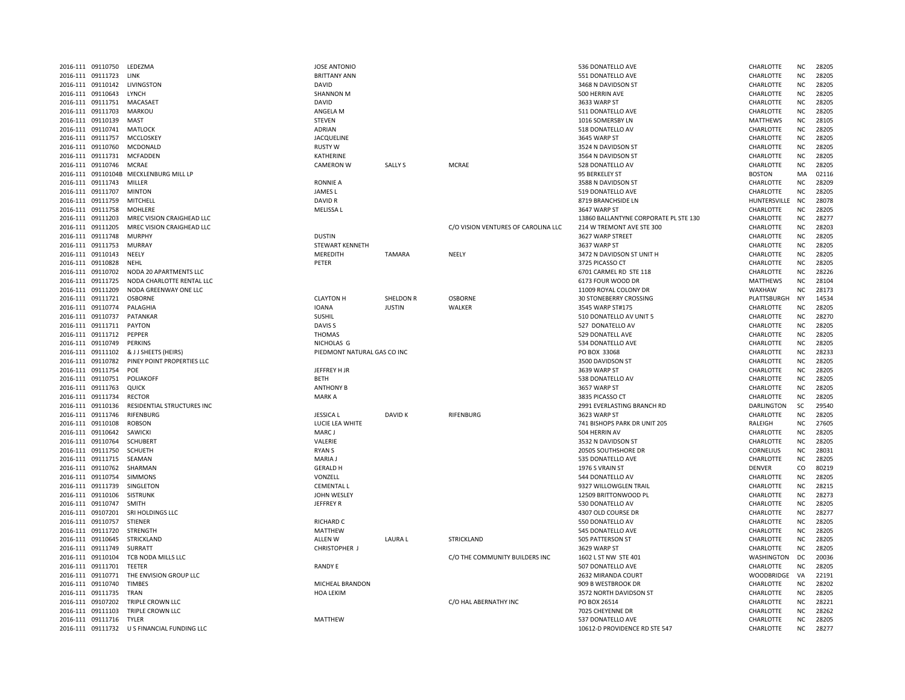| 2016-111 | 09110750          | LEDEZMA                                |
|----------|-------------------|----------------------------------------|
|          | 2016-111 09111723 | LINK                                   |
|          | 2016-111 09110142 | LIVINGSTON                             |
|          | 2016-111 09110643 | LYNCH                                  |
|          | 2016-111 09111751 | MACASAET                               |
|          | 2016-111 09111703 | MARKOU                                 |
|          | 2016-111 09110139 | MAST                                   |
|          | 2016-111 09110741 | MATLOCK                                |
|          | 2016-111 09111757 | MCCLOSKEY                              |
|          | 2016-111 09110760 | MCDONALD                               |
|          | 2016-111 09111731 | <b>MCFADDEN</b>                        |
|          | 2016-111 09110746 | <b>MCRAE</b>                           |
|          |                   | 2016-111 09110104B MECKLENBURG MILL LP |
|          | 2016-111 09111743 | MILLFR                                 |
|          | 2016-111 09111707 | <b>MINTON</b>                          |
|          | 2016-111 09111759 | MITCHELL                               |
|          | 2016-111 09111758 | <b>MOHLERE</b>                         |
|          | 2016-111 09111203 | MREC VISION CRAIGHEAD LLC              |
|          | 2016-111 09111205 | MREC VISION CRAIGHEAD LLC              |
|          | 2016-111 09111748 | <b>MURPHY</b>                          |
|          | 2016-111 09111753 | <b>MURRAY</b>                          |
|          | 2016-111 09110143 | NEELY                                  |
|          | 2016-111 09110828 | NEHL                                   |
|          | 2016-111 09110702 | NODA 20 APARTMENTS LLC                 |
|          | 2016-111 09111725 | NODA CHARLOTTE RENTAL LLC              |
|          | 2016-111 09111209 | NODA GREENWAY ONE LLC                  |
|          | 2016-111 09111721 | <b>OSBORNE</b>                         |
|          | 2016-111 09110774 | PALAGHIA                               |
|          | 2016-111 09110737 | PATANKAR                               |
|          | 2016-111 09111711 | <b>PAYTON</b>                          |
|          | 2016-111 09111712 | PEPPER                                 |
|          | 2016-111 09110749 | PERKINS                                |
|          | 2016-111 09111102 | & J J SHEETS (HEIRS)                   |
|          | 2016-111 09110782 | PINEY POINT PROPERTIES LLC             |
|          | 2016-111 09111754 | POE                                    |
|          | 2016-111 09110751 | POLIAKOFF                              |
|          | 2016-111 09111763 | QUICK                                  |
|          | 2016-111 09111734 | <b>RECTOR</b>                          |
|          | 2016-111 09110136 | RESIDENTIAL STRUCTURES INC             |
|          | 2016-111 09111746 | RIFENBURG                              |
|          | 2016-111 09110108 | <b>ROBSON</b>                          |
|          | 2016-111 09110642 | SAWICKI                                |
|          | 2016-111 09110764 | <b>SCHUBERT</b>                        |
|          | 2016-111 09111750 | SCHUETH                                |
|          | 2016-111 09111715 | SEAMAN                                 |
|          | 2016-111 09110762 | SHARMAN                                |
|          | 2016-111 09110754 | <b>SIMMONS</b>                         |
|          | 2016-111 09111739 | SINGLETON                              |
|          | 2016-111 09110106 | <b>SISTRUNK</b>                        |
|          | 2016-111 09110747 | SMITH                                  |
|          | 2016-111 09107201 | SRI HOLDINGS LLC                       |
|          | 2016-111 09110757 | <b>STIENER</b>                         |
|          | 2016-111 09111720 | <b>STRENGTH</b>                        |
|          | 2016-111 09110645 | STRICKLAND                             |
|          | 2016-111 09111749 | SURRATT                                |
|          | 2016-111 09110104 | TCB NODA MILLS LLC                     |
|          | 2016-111 09111701 | <b>TEETER</b>                          |
|          | 2016-111 09110771 | THE ENVISION GROUP LLC                 |
|          | 2016-111 09110740 | <b>TIMBES</b>                          |
|          | 2016-111 09111735 | <b>TRAN</b>                            |
|          | 2016-111 09107202 | <b>TRIPLE CROWN LLC</b>                |
|          | 2016-111 09111103 | TRIPLE CROWN LLC                       |
|          | 2016-111 09111716 | <b>TYLER</b>                           |

| 2016-111 09110750       | LEDEZMA                                     | <b>JOSE ANTONIO</b>         |                |                                     | 536 DONATELLO AVE                     | CHARLOTTE         | ΝC             | 28205 |
|-------------------------|---------------------------------------------|-----------------------------|----------------|-------------------------------------|---------------------------------------|-------------------|----------------|-------|
| 2016-111 09111723       | LINK                                        | <b>BRITTANY ANN</b>         |                |                                     | 551 DONATELLO AVE                     | CHARLOTTE         | <b>NC</b>      | 28205 |
| 2016-111 09110142       | LIVINGSTON                                  | <b>DAVID</b>                |                |                                     | 3468 N DAVIDSON ST                    | CHARLOTTE         | <b>NC</b>      | 28205 |
| 2016-111 09110643       | <b>LYNCH</b>                                | <b>SHANNON M</b>            |                |                                     | 500 HERRIN AVE                        | CHARLOTTE         | <b>NC</b>      | 28205 |
| 2016-111 09111751       | MACASAET                                    | DAVID                       |                |                                     | 3633 WARP ST                          | CHARLOTTE         | <b>NC</b>      | 28205 |
| 2016-111 09111703       | <b>MARKOU</b>                               | ANGELA M                    |                |                                     | 511 DONATELLO AVE                     | CHARLOTTE         | <b>NC</b>      | 28205 |
| 2016-111 09110139       | MAST                                        | <b>STEVEN</b>               |                |                                     | 1016 SOMERSBY LN                      | MATTHEWS          | <b>NC</b>      | 28105 |
| 2016-111 09110741       | <b>MATLOCK</b>                              | <b>ADRIAN</b>               |                |                                     | 518 DONATELLO AV                      | CHARLOTTE         | <b>NC</b>      | 28205 |
| 2016-111 09111757       | MCCLOSKEY                                   | <b>JACQUELINE</b>           |                |                                     | 3645 WARP ST                          | CHARLOTTE         | <b>NC</b>      | 28205 |
| 2016-111 09110760       | MCDONALD                                    | <b>RUSTY W</b>              |                |                                     | 3524 N DAVIDSON ST                    | CHARLOTTE         | ΝC             | 28205 |
| 2016-111 09111731       | MCFADDEN                                    | KATHERINE                   |                |                                     | 3564 N DAVIDSON ST                    | CHARLOTTE         | <b>NC</b>      | 28205 |
| 2016-111 09110746       | MCRAE                                       | <b>CAMERON W</b>            | <b>SALLY S</b> | <b>MCRAE</b>                        | 528 DONATELLO AV                      | CHARLOTTE         | <b>NC</b>      | 28205 |
|                         | 2016-111 09110104B MECKLENBURG MILL LP      |                             |                |                                     | 95 BERKELEY ST                        | <b>BOSTON</b>     | MA             | 02116 |
| 2016-111 09111743       | MILLER                                      | <b>RONNIE A</b>             |                |                                     | 3588 N DAVIDSON ST                    | CHARLOTTE         | <b>NC</b>      | 28209 |
| 2016-111 09111707       | <b>MINTON</b>                               | <b>JAMES L</b>              |                |                                     | 519 DONATELLO AVE                     | CHARLOTTE         | <b>NC</b>      | 28205 |
| 2016-111 09111759       | MITCHELL                                    | DAVID R                     |                |                                     | 8719 BRANCHSIDE LN                    | HUNTERSVILLE      | <b>NC</b>      | 28078 |
| 2016-111 09111758       | <b>MOHLERE</b>                              | <b>MELISSAL</b>             |                |                                     | 3647 WARP ST                          | CHARLOTTE         | <b>NC</b>      | 28205 |
| 2016-111 09111203       | MREC VISION CRAIGHEAD LLC                   |                             |                |                                     | 13860 BALLANTYNE CORPORATE PL STE 130 | CHARLOTTE         | <b>NC</b>      | 28277 |
|                         |                                             |                             |                |                                     |                                       |                   | <b>NC</b>      | 28203 |
| 2016-111 09111205       | MREC VISION CRAIGHEAD LLC                   |                             |                | C/O VISION VENTURES OF CAROLINA LLC | 214 W TREMONT AVE STE 300             | CHARLOTTE         |                |       |
| 2016-111 09111748       | <b>MURPHY</b>                               | <b>DUSTIN</b>               |                |                                     | 3627 WARP STREET                      | CHARLOTTE         | <b>NC</b>      | 28205 |
| 2016-111 09111753       | <b>MURRAY</b>                               | STEWART KENNETH             |                |                                     | 3637 WARP ST                          | CHARLOTTE         | <b>NC</b>      | 28205 |
| 2016-111 09110143       | NEELY                                       | MEREDITH                    | <b>TAMARA</b>  | NEELY                               | 3472 N DAVIDSON ST UNIT H             | CHARLOTTE         | ΝC             | 28205 |
| 2016-111 09110828       | NEHL                                        | PETER                       |                |                                     | 3725 PICASSO CT                       | CHARLOTTE         | ΝC             | 28205 |
| 2016-111 09110702       | NODA 20 APARTMENTS LLC                      |                             |                |                                     | 6701 CARMEL RD STE 118                | CHARLOTTE         | <b>NC</b>      | 28226 |
| 2016-111 09111725       | NODA CHARLOTTE RENTAL LLC                   |                             |                |                                     | 6173 FOUR WOOD DR                     | <b>MATTHEWS</b>   | N <sub>C</sub> | 28104 |
| 2016-111 09111209       | NODA GREENWAY ONE LLC                       |                             |                |                                     | 11009 ROYAL COLONY DR                 | WAXHAW            | <b>NC</b>      | 28173 |
| 2016-111 09111721       | <b>OSBORNE</b>                              | <b>CLAYTON H</b>            | SHELDON R      | <b>OSBORNE</b>                      | <b>30 STONEBERRY CROSSING</b>         | PLATTSBURGH       | <b>NY</b>      | 14534 |
| 2016-111 09110774       | PALAGHIA                                    | <b>IOANA</b>                | <b>JUSTIN</b>  | WALKER                              | 3545 WARP ST#175                      | CHARLOTTE         | NC.            | 28205 |
| 2016-111 09110737       | PATANKAR                                    | <b>SUSHIL</b>               |                |                                     | 510 DONATELLO AV UNIT 5               | CHARLOTTE         | <b>NC</b>      | 28270 |
| 2016-111 09111711       | PAYTON                                      | DAVIS <sub>S</sub>          |                |                                     | 527 DONATELLO AV                      | CHARLOTTE         | <b>NC</b>      | 28205 |
| 2016-111 09111712       | PEPPER                                      | <b>THOMAS</b>               |                |                                     | 529 DONATELL AVE                      | CHARLOTTE         | ΝC             | 28205 |
| 2016-111 09110749       | PERKINS                                     | NICHOLAS G                  |                |                                     | 534 DONATELLO AVE                     | CHARLOTTE         | ΝC             | 28205 |
| 2016-111 09111102       | & J J SHEETS (HEIRS)                        | PIEDMONT NATURAL GAS CO INC |                |                                     | PO BOX 33068                          | CHARLOTTE         | <b>NC</b>      | 28233 |
| 2016-111 09110782       | PINEY POINT PROPERTIES LLC                  |                             |                |                                     | 3500 DAVIDSON ST                      | CHARLOTTE         | <b>NC</b>      | 28205 |
| 2016-111 09111754       | POE                                         | JEFFREY H JR                |                |                                     | 3639 WARP ST                          | CHARLOTTE         | <b>NC</b>      | 28205 |
| 2016-111 09110751       | POLIAKOFF                                   | <b>BETH</b>                 |                |                                     | 538 DONATELLO AV                      | CHARLOTTE         | <b>NC</b>      | 28205 |
| 2016-111 09111763       | QUICK                                       | <b>ANTHONY B</b>            |                |                                     | 3657 WARP ST                          | CHARLOTTE         | <b>NC</b>      | 28205 |
| 2016-111 09111734       | <b>RECTOR</b>                               | <b>MARKA</b>                |                |                                     | 3835 PICASSO CT                       | CHARLOTTE         | NC             | 28205 |
| 2016-111 09110136       | RESIDENTIAL STRUCTURES INC                  |                             |                |                                     | 2991 EVERLASTING BRANCH RD            | <b>DARLINGTON</b> | SC             | 29540 |
| 2016-111 09111746       | RIFENBURG                                   | <b>JESSICA L</b>            | DAVID K        | RIFENBURG                           | 3623 WARP ST                          | CHARLOTTE         | <b>NC</b>      | 28205 |
| 2016-111 09110108       | <b>ROBSON</b>                               | LUCIE LEA WHITE             |                |                                     | 741 BISHOPS PARK DR UNIT 205          | RALEIGH           | <b>NC</b>      | 27605 |
| 2016-111 09110642       | SAWICKI                                     | MARC J                      |                |                                     | 504 HERRIN AV                         | CHARLOTTE         | <b>NC</b>      | 28205 |
| 2016-111 09110764       | <b>SCHUBERT</b>                             | VALERIE                     |                |                                     | 3532 N DAVIDSON ST                    | CHARLOTTE         | <b>NC</b>      | 28205 |
| 2016-111 09111750       | SCHUETH                                     | <b>RYANS</b>                |                |                                     | 20505 SOUTHSHORE DR                   | CORNELIUS         | <b>NC</b>      | 28031 |
| 2016-111 09111715       | SEAMAN                                      | <b>MARIA J</b>              |                |                                     | 535 DONATELLO AVE                     | CHARLOTTE         | <b>NC</b>      | 28205 |
| 2016-111 09110762       | SHARMAN                                     | <b>GERALD H</b>             |                |                                     | 1976 S VRAIN ST                       | DENVER            | CO             | 80219 |
| 2016-111 09110754       | <b>SIMMONS</b>                              | VONZELL                     |                |                                     | 544 DONATELLO AV                      | CHARLOTTE         | <b>NC</b>      | 28205 |
| 2016-111 09111739       | SINGLETON                                   | <b>CEMENTAL L</b>           |                |                                     | 9327 WILLOWGLEN TRAIL                 | CHARLOTTE         | <b>NC</b>      | 28215 |
| 2016-111 09110106       | <b>SISTRUNK</b>                             | JOHN WESLEY                 |                |                                     | 12509 BRITTONWOOD PL                  | CHARLOTTE         | <b>NC</b>      | 28273 |
| 2016-111 09110747       | <b>SMITH</b>                                | <b>JEFFREY R</b>            |                |                                     | 530 DONATELLO AV                      | CHARLOTTE         | <b>NC</b>      | 28205 |
| 2016-111 09107201       | SRI HOLDINGS LLC                            |                             |                |                                     | 4307 OLD COURSE DR                    | CHARLOTTE         | <b>NC</b>      | 28277 |
| 2016-111 09110757       | STIENER                                     | <b>RICHARD C</b>            |                |                                     | 550 DONATELLO AV                      | CHARLOTTE         | <b>NC</b>      | 28205 |
| 2016-111 09111720       | STRENGTH                                    | <b>MATTHEW</b>              |                |                                     | 545 DONATELLO AVE                     | CHARLOTTE         | <b>NC</b>      | 28205 |
| 2016-111 09110645       | STRICKLAND                                  | ALLEN W                     | <b>LAURA L</b> | <b>STRICKLAND</b>                   | 505 PATTERSON ST                      | CHARLOTTE         | <b>NC</b>      | 28205 |
| 2016-111 09111749       | SURRATT                                     | CHRISTOPHER J               |                |                                     | 3629 WARP ST                          | CHARLOTTE         | ΝC             | 28205 |
| 2016-111 09110104       | TCB NODA MILLS LLC                          |                             |                | C/O THE COMMUNITY BUILDERS INC      | 1602 L ST NW STE 401                  | WASHINGTON        | DC             | 20036 |
| 2016-111 09111701       | TEETER                                      | <b>RANDY E</b>              |                |                                     | 507 DONATELLO AVE                     | CHARLOTTE         | <b>NC</b>      | 28205 |
| 2016-111 09110771       | THE ENVISION GROUP LLC                      |                             |                |                                     | 2632 MIRANDA COURT                    | WOODBRIDGE        | VA             | 22191 |
| 2016-111 09110740       | <b>TIMBES</b>                               | MICHEAL BRANDON             |                |                                     | 909 B WESTBROOK DR                    | CHARLOTTE         | <b>NC</b>      | 28202 |
| 2016-111 09111735       | <b>TRAN</b>                                 | HOA LEKIM                   |                |                                     | 3572 NORTH DAVIDSON ST                | CHARLOTTE         | <b>NC</b>      | 28205 |
| 2016-111 09107202       | TRIPLE CROWN LLC                            |                             |                | C/O HAL ABERNATHY INC               | PO BOX 26514                          | CHARLOTTE         | ΝC             | 28221 |
| 2016-111 09111103       | TRIPLE CROWN LLC                            |                             |                |                                     | 7025 CHEYENNE DR                      | CHARLOTTE         | <b>NC</b>      | 28262 |
| 2016-111 09111716 TYLER |                                             | <b>MATTHEW</b>              |                |                                     | 537 DONATELLO AVE                     | CHARLOTTE         | NC             | 28205 |
|                         | 2016-111 09111732 U S FINANCIAL FUNDING LLC |                             |                |                                     | 10612-D PROVIDENCE RD STE 547         | CHARLOTTE         | <b>NC</b>      | 28277 |
|                         |                                             |                             |                |                                     |                                       |                   |                |       |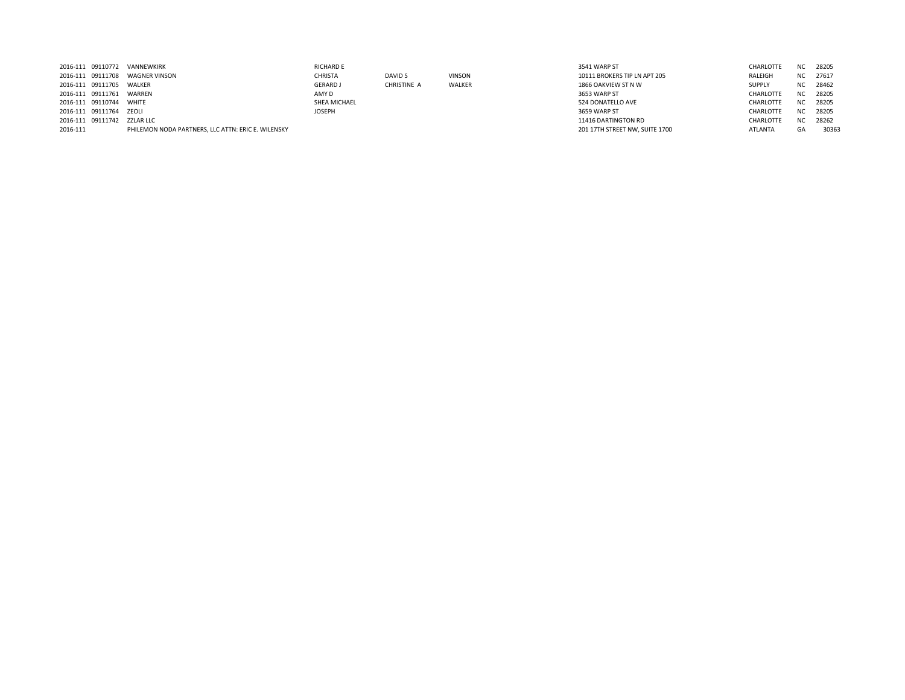| 2016-111 09110772 |                         | VANNEWKIRK                                         | <b>RICHARD E</b> |             |               | 3541 WARP ST                   | <b>CHARLOTTE</b> | NC.       | 28205 |
|-------------------|-------------------------|----------------------------------------------------|------------------|-------------|---------------|--------------------------------|------------------|-----------|-------|
|                   | 2016-111 09111708       | WAGNER VINSON                                      | CHRISTA          | DAVID S     | <b>VINSON</b> | 10111 BROKERS TIP LN APT 205   | RALEIGH          | NC .      | 27617 |
|                   | 2016-111 09111705       | WALKER                                             | <b>GERARD J</b>  | CHRISTINE A | WALKER        | 1866 OAKVIEW ST N W            | <b>SUPPLY</b>    | NC.       | 28462 |
| 2016-111 09111761 |                         | WARREN                                             | AMY D            |             |               | 3653 WARP ST                   | CHARLOTTE        | NC .      | 28205 |
| 2016-111 09110744 |                         | WHITE                                              | SHEA MICHAEL     |             |               | 524 DONATELLO AVE              | CHARLOTTE        | NC.       | 28205 |
|                   | 2016-111 09111764 ZEOLI |                                                    | JOSEPH           |             |               | 3659 WARP ST                   | CHARLOTTE        | NC.       | 28205 |
|                   | 2016-111 09111742       | ZZLAR LLC                                          |                  |             |               | 11416 DARTINGTON RD            | CHARLOTTE        | <b>NC</b> | 28262 |
| 2016-111          |                         | PHILEMON NODA PARTNERS. LLC ATTN: ERIC E. WILENSKY |                  |             |               | 201 17TH STREET NW, SUITE 1700 | <b>ATLANTA</b>   | GA        | 30363 |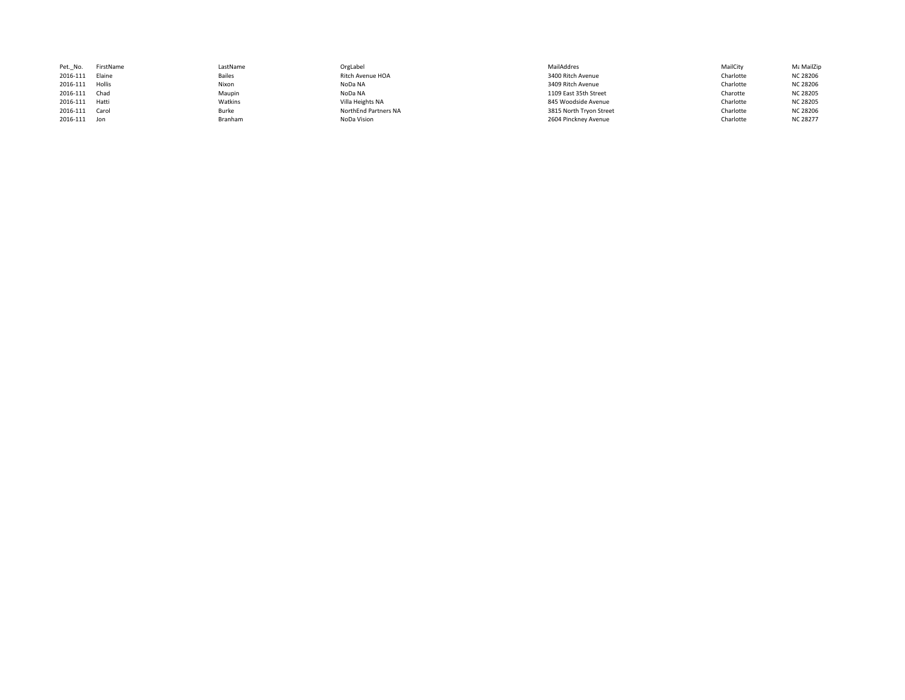| Pet. No.       | FirstName | LastName      | OrgLabel             | MailAddres              | MailCity  | Με MailZip      |
|----------------|-----------|---------------|----------------------|-------------------------|-----------|-----------------|
| 2016-111       | Elaine    | <b>Bailes</b> | Ritch Avenue HOA     | 3400 Ritch Avenue       | Charlotte | <b>NC 28206</b> |
| 2016-111       | Hollis    | Nixon         | NoDa NA              | 3409 Ritch Avenue       | Charlotte | <b>NC 28206</b> |
| 2016-111 Chad  |           | Maupin        | NoDa NA              | 1109 East 35th Street   | Charotte  | <b>NC 28205</b> |
| 2016-111 Hatti |           | Watkins       | Villa Heights NA     | 845 Woodside Avenue     | Charlotte | <b>NC 28205</b> |
| 2016-111 Carol |           | Burke         | NorthEnd Partners NA | 3815 North Tryon Street | Charlotte | <b>NC 28206</b> |
| 2016-111 Jon   |           | Branham       | NoDa Vision          | 2604 Pinckney Avenue    | Charlotte | <b>NC 28277</b> |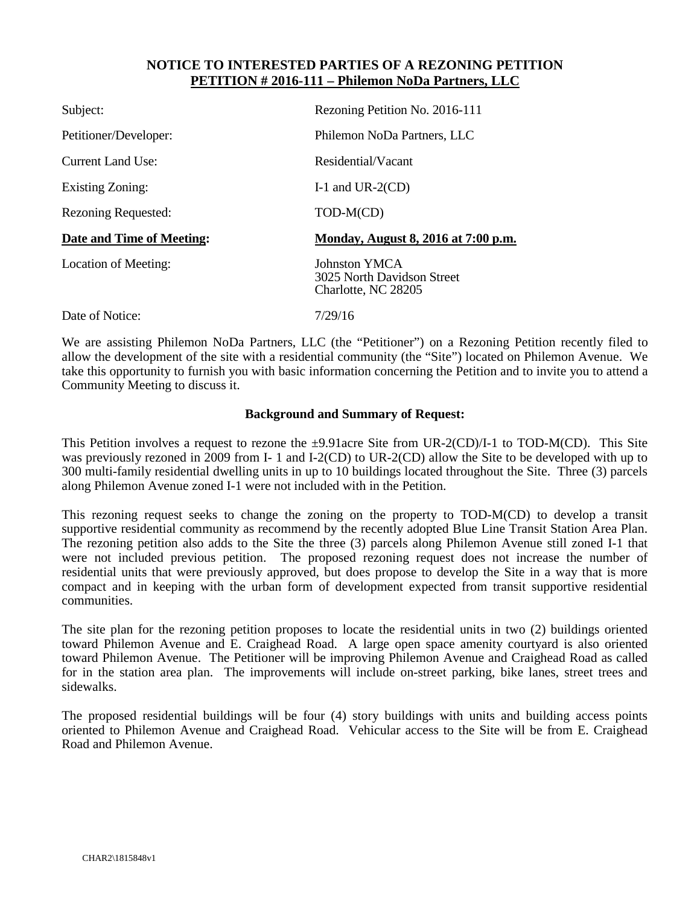#### **NOTICE TO INTERESTED PARTIES OF A REZONING PETITION PETITION # 2016-111 – Philemon NoDa Partners, LLC**

| Subject:                   | Rezoning Petition No. 2016-111                                     |
|----------------------------|--------------------------------------------------------------------|
| Petitioner/Developer:      | Philemon NoDa Partners, LLC                                        |
| Current Land Use:          | Residential/Vacant                                                 |
| Existing Zoning:           | I-1 and UR-2 $(CD)$                                                |
| <b>Rezoning Requested:</b> | TOD-M(CD)                                                          |
|                            |                                                                    |
| Date and Time of Meeting:  | Monday, August 8, 2016 at 7:00 p.m.                                |
| Location of Meeting:       | Johnston YMCA<br>3025 North Davidson Street<br>Charlotte, NC 28205 |

We are assisting Philemon NoDa Partners, LLC (the "Petitioner") on a Rezoning Petition recently filed to allow the development of the site with a residential community (the "Site") located on Philemon Avenue. We take this opportunity to furnish you with basic information concerning the Petition and to invite you to attend a Community Meeting to discuss it.

#### **Background and Summary of Request:**

This Petition involves a request to rezone the  $\pm 9.91$  acre Site from UR-2(CD)/I-1 to TOD-M(CD). This Site was previously rezoned in 2009 from I- 1 and I-2(CD) to UR-2(CD) allow the Site to be developed with up to 300 multi-family residential dwelling units in up to 10 buildings located throughout the Site. Three (3) parcels along Philemon Avenue zoned I-1 were not included with in the Petition.

This rezoning request seeks to change the zoning on the property to TOD-M(CD) to develop a transit supportive residential community as recommend by the recently adopted Blue Line Transit Station Area Plan. The rezoning petition also adds to the Site the three (3) parcels along Philemon Avenue still zoned I-1 that were not included previous petition. The proposed rezoning request does not increase the number of residential units that were previously approved, but does propose to develop the Site in a way that is more compact and in keeping with the urban form of development expected from transit supportive residential communities.

The site plan for the rezoning petition proposes to locate the residential units in two (2) buildings oriented toward Philemon Avenue and E. Craighead Road. A large open space amenity courtyard is also oriented toward Philemon Avenue. The Petitioner will be improving Philemon Avenue and Craighead Road as called for in the station area plan. The improvements will include on-street parking, bike lanes, street trees and sidewalks.

The proposed residential buildings will be four (4) story buildings with units and building access points oriented to Philemon Avenue and Craighead Road. Vehicular access to the Site will be from E. Craighead Road and Philemon Avenue.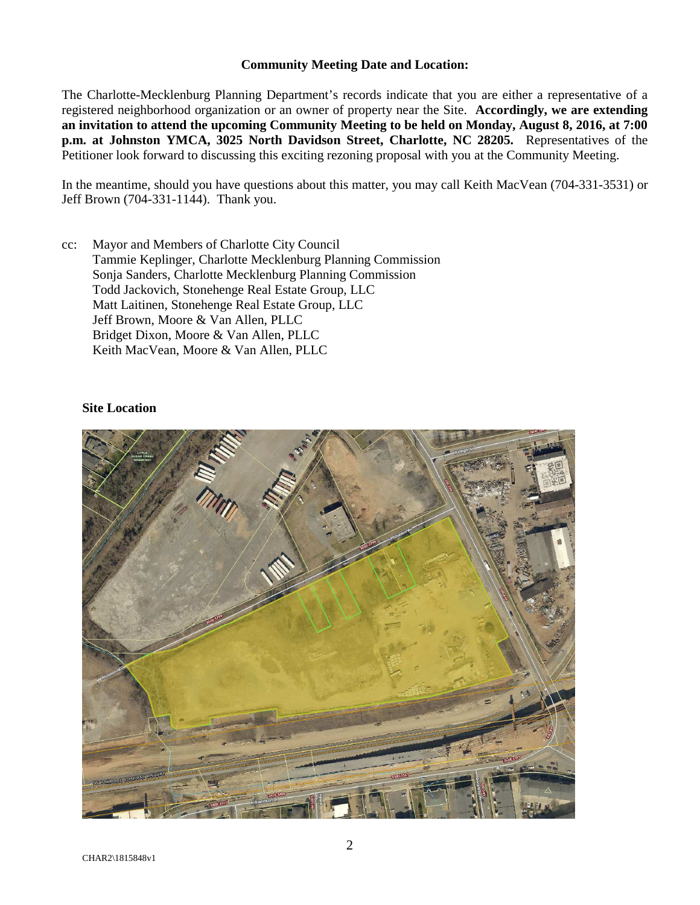#### **Community Meeting Date and Location:**

The Charlotte-Mecklenburg Planning Department's records indicate that you are either a representative of a registered neighborhood organization or an owner of property near the Site. **Accordingly, we are extending an invitation to attend the upcoming Community Meeting to be held on Monday, August 8, 2016, at 7:00 p.m. at Johnston YMCA, 3025 North Davidson Street, Charlotte, NC 28205.** Representatives of the Petitioner look forward to discussing this exciting rezoning proposal with you at the Community Meeting.

In the meantime, should you have questions about this matter, you may call Keith MacVean (704-331-3531) or Jeff Brown (704-331-1144). Thank you.

cc: Mayor and Members of Charlotte City Council Tammie Keplinger, Charlotte Mecklenburg Planning Commission Sonja Sanders, Charlotte Mecklenburg Planning Commission Todd Jackovich, Stonehenge Real Estate Group, LLC Matt Laitinen, Stonehenge Real Estate Group, LLC Jeff Brown, Moore & Van Allen, PLLC Bridget Dixon, Moore & Van Allen, PLLC Keith MacVean, Moore & Van Allen, PLLC

#### **Site Location**